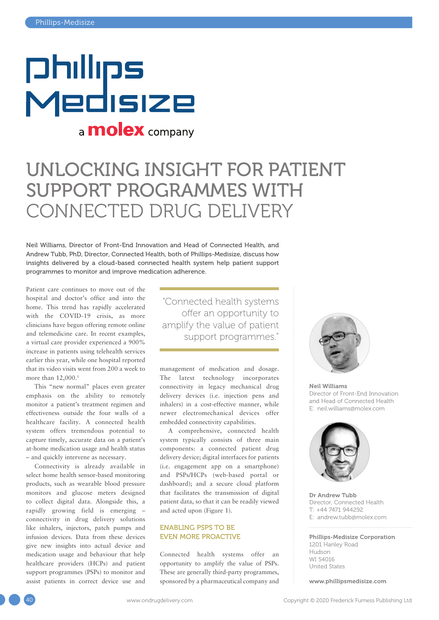# **Philips** Medisize a **molex** company

## UNLOCKING INSIGHT FOR PATIENT SUPPORT PROGRAMMES WITH CONNECTED DRUG DELIVERY

Neil Williams, Director of Front-End Innovation and Head of Connected Health, and Andrew Tubb, PhD, Director, Connected Health, both of Phillips-Medisize, discuss how insights delivered by a cloud-based connected health system help patient support programmes to monitor and improve medication adherence.

Patient care continues to move out of the hospital and doctor's office and into the home. This trend has rapidly accelerated with the COVID-19 crisis, as more clinicians have begun offering remote online and telemedicine care. In recent examples, a virtual care provider experienced a 900% increase in patients using telehealth services earlier this year, while one hospital reported that its video visits went from 200 a week to more than 12,000.<sup>1</sup>

This "new normal" places even greater emphasis on the ability to remotely monitor a patient's treatment regimen and effectiveness outside the four walls of a healthcare facility. A connected health system offers tremendous potential to capture timely, accurate data on a patient's at-home medication usage and health status – and quickly intervene as necessary.

Connectivity is already available in select home health sensor-based monitoring products, such as wearable blood pressure monitors and glucose meters designed to collect digital data. Alongside this, a rapidly growing field is emerging – connectivity in drug delivery solutions like inhalers, injectors, patch pumps and infusion devices. Data from these devices give new insights into actual device and medication usage and behaviour that help healthcare providers (HCPs) and patient support programmes (PSPs) to monitor and assist patients in correct device use and "Connected health systems offer an opportunity to amplify the value of patient support programmes."

management of medication and dosage. The latest technology incorporates connectivity in legacy mechanical drug delivery devices (i.e. injection pens and inhalers) in a cost-effective manner, while newer electromechanical devices offer embedded connectivity capabilities.

A comprehensive, connected health system typically consists of three main components: a connected patient drug delivery device; digital interfaces for patients (i.e. engagement app on a smartphone) and PSPs/HCPs (web-based portal or dashboard); and a secure cloud platform that facilitates the transmission of digital patient data, so that it can be readily viewed and acted upon (Figure 1).

### ENABLING PSPS TO BE EVEN MORE PROACTIVE

Connected health systems offer an opportunity to amplify the value of PSPs. These are generally third-party programmes, sponsored by a pharmaceutical company and



Neil Williams Director of Front-End Innovation and Head of Connected Health E: [neil.williams@molex.com](mailto:neil.williams@molex.com)



Dr Andrew Tubb Director, Connected Health T: +44 7471 944292 E: [andrew.tubb@molex.com](mailto:andrew.tubb@molex.com)

#### Phillips-Medisize Corporation 1201 Hanley Road Hudson WI 54016 United States

[www.phillipsmedisize.com](https://www.phillipsmedisize.com)

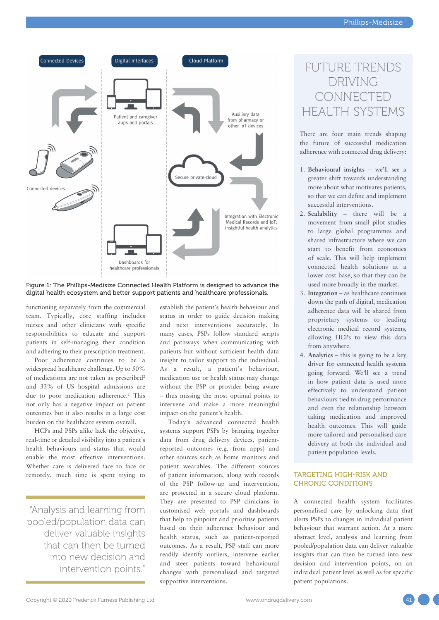

### Figure 1: The Phillips-Medisize Connected Health Platform is designed to advance the digital health ecosystem and better support patients and healthcare professionals.

functioning separately from the commercial team. Typically, core staffing includes nurses and other clinicians with specific responsibilities to educate and support patients in self-managing their condition and adhering to their prescription treatment.

Poor adherence continues to be a widespread healthcare challenge. Up to 50% of medications are not taken as prescribed2 and 33% of US hospital admissions are due to poor medication adherence.<sup>2</sup> This not only has a negative impact on patient outcomes but it also results in a large cost burden on the healthcare system overall.

HCPs and PSPs alike lack the objective, real-time or detailed visibility into a patient's health behaviours and status that would enable the most effective interventions. Whether care is delivered face to face or remotely, much time is spent trying to

"Analysis and learning from pooled/population data can deliver valuable insights that can then be turned into new decision and intervention points."

establish the patient's health behaviour and status in order to guide decision making and next interventions accurately. In many cases, PSPs follow standard scripts and pathways when communicating with patients but without sufficient health data insight to tailor support to the individual. As a result, a patient's behaviour, medication use or health status may change without the PSP or provider being aware – thus missing the most optimal points to intervene and make a more meaningful impact on the patient's health.

Today's advanced connected health systems support PSPs by bringing together data from drug delivery devices, patientreported outcomes (e.g. from apps) and other sources such as home monitors and patient wearables. The different sources of patient information, along with records of the PSP follow-up and intervention, are protected in a secure cloud platform. They are presented to PSP clinicians in customised web portals and dashboards that help to pinpoint and prioritise patients based on their adherence behaviour and health status, such as patient-reported outcomes. As a result, PSP staff can more readily identify outliers, intervene earlier and steer patients toward behavioural changes with personalised and targeted supportive interventions.

### FUTURE TRENDS DRIVING **CONNECTED** HEALTH SYSTEMS

There are four main trends shaping the future of successful medication adherence with connected drug delivery:

- 1. **Behavioural insights** we'll see a greater shift towards understanding more about what motivates patients, so that we can define and implement successful interventions.
- 2. **Scalability** there will be a movement from small pilot studies to large global programmes and shared infrastructure where we can start to benefit from economies of scale. This will help implement connected health solutions at a lower cost base, so that they can be used more broadly in the market.
- 3. **Integration** as healthcare continues down the path of digital, medication adherence data will be shared from proprietary systems to leading electronic medical record systems, allowing HCPs to view this data from anywhere.
- 4. **Analytics** this is going to be a key driver for connected health systems going forward. We'll see a trend in how patient data is used more effectively to understand patient behaviours tied to drug performance and even the relationship between taking medication and improved health outcomes. This will guide more tailored and personalised care delivery at both the individual and patient population levels.

### TARGETING HIGH-RISK AND CHRONIC CONDITIONS

A connected health system facilitates personalised care by unlocking data that alerts PSPs to changes in individual patient behaviour that warrant action. At a more abstract level, analysis and learning from pooled/population data can deliver valuable insights that can then be turned into new decision and intervention points, on an individual patient level as well as for specific patient populations.